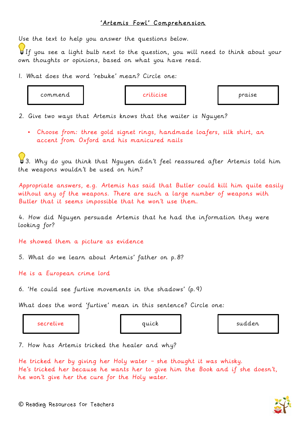## 'Artemis Fowl' Comprehension

Use the text to help you answer the questions below.

If you see a light bulb next to the question, you will need to think about your own thoughts or opinions, based on what you have read.

1. What does the word 'rebuke' mean? Circle one:

commend  $\blacksquare$  criticise  $\blacksquare$  praise

2. Give two ways that Artemis knows that the waiter is Nguyen?

• Choose from: three gold signet rings, handmade loafers, silk shirt, an accent from Oxford and his manicured nails

 $\bigcup$  3. Why do you think that Nguyen didn't feel reassured after Artemis told him the weapons wouldn't be used on him?

Appropriate answers, e.g. Artemis has said that Butler could kill him quite easily without any of the weapons. There are such a large number of weapons with Butler that it seems impossible that he won't use them.

4. How did Nguyen persuade Artemis that he had the information they were looking for?

He showed them a picture as evidence

5. What do we learn about Artemis' father on p.8?

He is a European crime lord

6. 'He could see furtive movements in the shadows' (p.9)

What does the word 'furtive' mean in this sentence? Circle one:

secretive and quick and sudden sudden

7. How has Artemis tricked the healer and why?

He tricked her by giving her Holy water – she thought it was whisky. He's tricked her because he wants her to give him the Book and if she doesn't, he won't give her the cure for the Holy water.